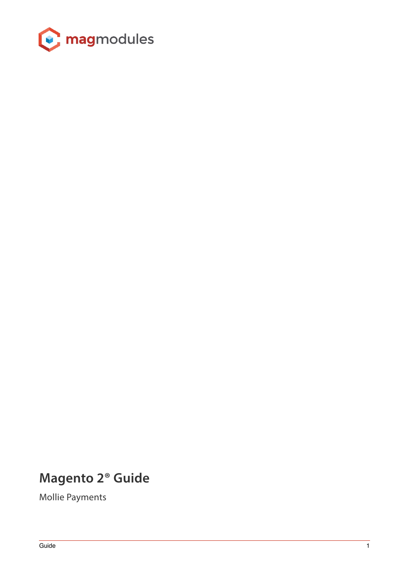

# **Magento 2® Guide**

Mollie Payments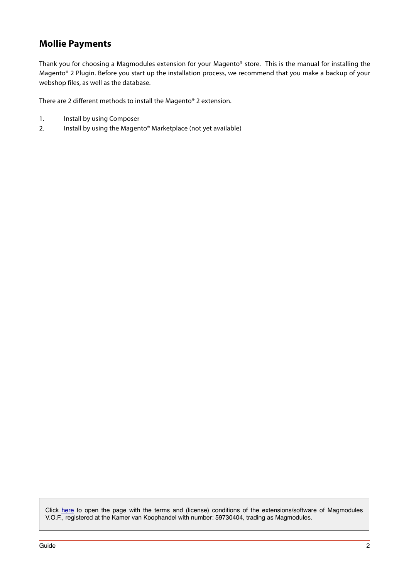# **Mollie Payments**

Thank you for choosing a Magmodules extension for your Magento® store. This is the manual for installing the Magento® 2 Plugin. Before you start up the installation process, we recommend that you make a backup of your webshop files, as well as the database.

There are 2 different methods to install the Magento® 2 extension.

- 1. Install by using Composer
- 2. Install by using the Magento® Marketplace (not yet available)

Click [here](https://www.magmodules.eu/terms.html) to open the page with the terms and (license) conditions of the extensions/software of Magmodules V.O.F., registered at the Kamer van Koophandel with number: 59730404, trading as Magmodules.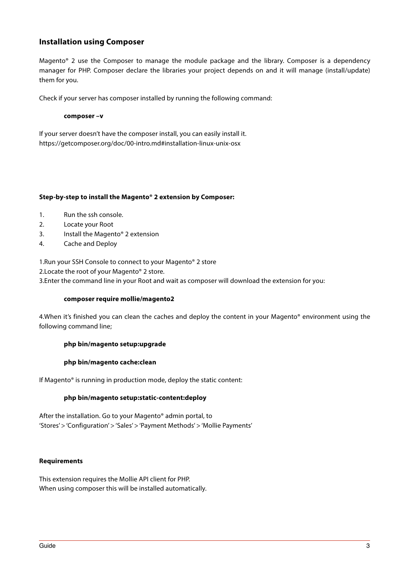# **Installation using Composer**

Magento® 2 use the Composer to manage the module package and the library. Composer is a dependency manager for PHP. Composer declare the libraries your project depends on and it will manage (install/update) them for you.

Check if your server has composer installed by running the following command:

#### **composer –v**

If your server doesn't have the composer install, you can easily install it. https://getcomposer.org/doc/00-intro.md#installation-linux-unix-osx

#### **Step-by-step to install the Magento® 2 extension by Composer:**

- 1. Run the ssh console.
- 2. Locate your Root
- 3. Install the Magento® 2 extension
- 4. Cache and Deploy

1.Run your SSH Console to connect to your Magento® 2 store

2.Locate the root of your Magento® 2 store.

3.Enter the command line in your Root and wait as composer will download the extension for you:

# **composer require mollie/magento2**

4.When it's finished you can clean the caches and deploy the content in your Magento® environment using the following command line;

# **php bin/magento setup:upgrade**

#### **php bin/magento cache:clean**

If Magento® is running in production mode, deploy the static content:

#### **php bin/magento setup:static-content:deploy**

After the installation. Go to your Magento® admin portal, to 'Stores' > 'Configuration' > 'Sales' > 'Payment Methods' > 'Mollie Payments'

#### **Requirements**

This extension requires the Mollie API client for PHP. When using composer this will be installed automatically.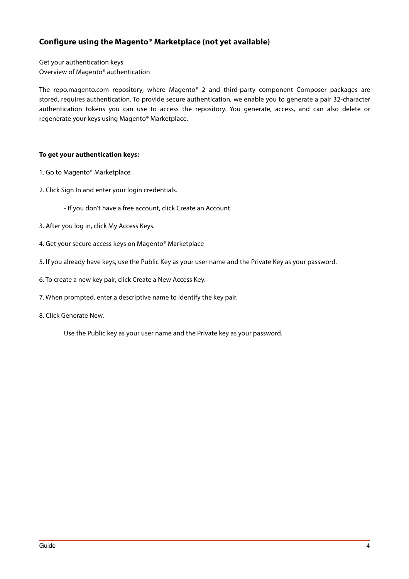# **Configure using the Magento® Marketplace (not yet available)**

Get your authentication keys Overview of Magento® authentication

The repo.magento.com repository, where Magento® 2 and third-party component Composer packages are stored, requires authentication. To provide secure authentication, we enable you to generate a pair 32-character authentication tokens you can use to access the repository. You generate, access, and can also delete or regenerate your keys using Magento® Marketplace.

# **To get your authentication keys:**

- 1. Go to Magento® Marketplace.
- 2. Click Sign In and enter your login credentials.

- If you don't have a free account, click Create an Account.

- 3. After you log in, click My Access Keys.
- 4. Get your secure access keys on Magento® Marketplace
- 5. If you already have keys, use the Public Key as your user name and the Private Key as your password.
- 6. To create a new key pair, click Create a New Access Key.
- 7. When prompted, enter a descriptive name to identify the key pair.
- 8. Click Generate New.

Use the Public key as your user name and the Private key as your password.